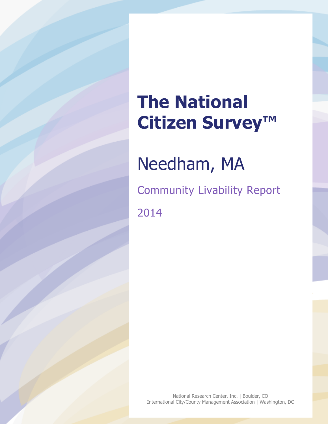# **The National Citizen Survey™**

Needham, MA

Community Livability Report 2014

National Research Center, Inc. | Boulder, CO International City/County Management Association | Washington, DC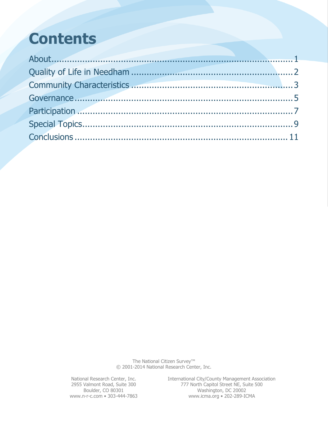### **Contents**

The National Citizen Survey™ © 2001-2014 National Research Center, Inc.

National Research Center, Inc. International City/County Management Association 2955 Valmont Road, Suite 300 777 North Capitol Street NE, Suite 500 Boulder, CO 80301 Washington, DC 20002 www.n-r-c.com • 303-444-7863 www.icma.org • 202-289-ICMA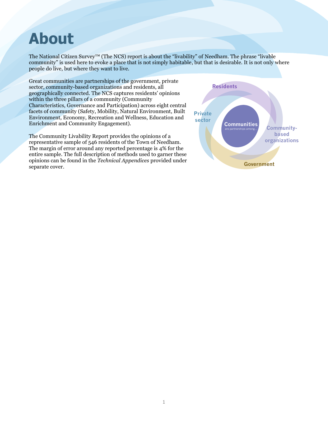### <span id="page-2-0"></span>**About**

The National Citizen Survey™ (The NCS) report is about the "livability" of Needham. The phrase "livable community" is used here to evoke a place that is not simply habitable, but that is desirable. It is not only where people do live, but where they want to live.

Great communities are partnerships of the government, private sector, community-based organizations and residents, all geographically connected. The NCS captures residents' opinions within the three pillars of a community (Community Characteristics, Governance and Participation) across eight central facets of community (Safety, Mobility, Natural Environment, Built Environment, Economy, Recreation and Wellness, Education and Enrichment and Community Engagement).

The Community Livability Report provides the opinions of a representative sample of 546 residents of the Town of Needham. The margin of error around any reported percentage is 4% for the entire sample. The full description of methods used to garner these opinions can be found in the *Technical Appendices* provided under separate cover.

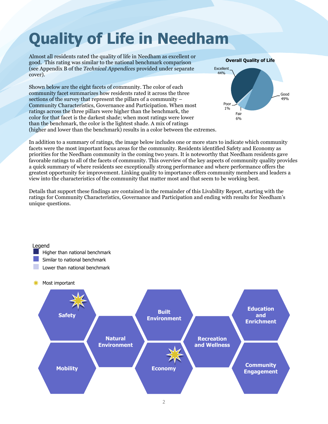# <span id="page-3-0"></span>**Quality of Life in Needham**

Almost all residents rated the quality of life in Needham as excellent or good. This rating was similar to the national benchmark comparison (see Appendix B of the *Technical Appendices* provided under separate cover).

Shown below are the eight facets of community. The color of each community facet summarizes how residents rated it across the three sections of the survey that represent the pillars of a community – Community Characteristics, Governance and Participation. When most ratings across the three pillars were higher than the benchmark, the color for that facet is the darkest shade; when most ratings were lower than the benchmark, the color is the lightest shade. A mix of ratings (higher and lower than the benchmark) results in a color between the extremes.



In addition to a summary of ratings, the image below includes one or more stars to indicate which community facets were the most important focus areas for the community. Residents identified Safety and Economy as priorities for the Needham community in the coming two years. It is noteworthy that Needham residents gave favorable ratings to all of the facets of community. This overview of the key aspects of community quality provides a quick summary of where residents see exceptionally strong performance and where performance offers the greatest opportunity for improvement. Linking quality to importance offers community members and leaders a view into the characteristics of the community that matter most and that seem to be working best.

Details that support these findings are contained in the remainder of this Livability Report, starting with the ratings for Community Characteristics, Governance and Participation and ending with results for Needham's unique questions.

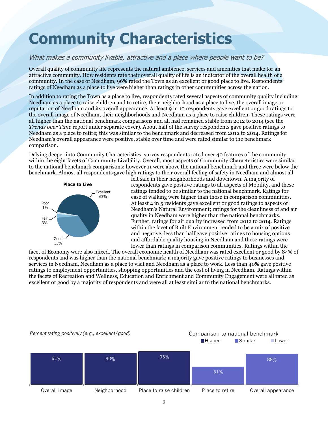### <span id="page-4-0"></span>**Community Characteristics**

### What makes a community livable, attractive and a place where people want to be?

Overall quality of community life represents the natural ambience, services and amenities that make for an attractive community. How residents rate their overall quality of life is an indicator of the overall health of a community. In the case of Needham, 96% rated the Town as an excellent or good place to live. Respondents' ratings of Needham as a place to live were higher than ratings in other communities across the nation.

In addition to rating the Town as a place to live, respondents rated several aspects of community quality including Needham as a place to raise children and to retire, their neighborhood as a place to live, the overall image or reputation of Needham and its overall appearance. At least 9 in 10 respondents gave excellent or good ratings to the overall image of Needham, their neighborhoods and Needham as a place to raise children. These ratings were all higher than the national benchmark comparisons and all had remained stable from 2012 to 2014 (see the *Trends over Time* report under separate cover). About half of the survey respondents gave positive ratings to Needham as a place to retire; this was similar to the benchmark and decreased from 2012 to 2014. Ratings for Needham's overall appearance were positive, stable over time and were rated similar to the benchmark comparison.

Delving deeper into Community Characteristics, survey respondents rated over 40 features of the community within the eight facets of Community Livability. Overall, most aspects of Community Characteristics were similar to the national benchmark comparisons; however 11 were above the national benchmark and three were below the benchmark. Almost all respondents gave high ratings to their overall feeling of safety in Needham and almost all



felt safe in their neighborhoods and downtown. A majority of respondents gave positive ratings to all aspects of Mobility, and these ratings tended to be similar to the national benchmark. Ratings for ease of walking were higher than those in comparison communities. At least 4 in 5 residents gave excellent or good ratings to aspects of Needham's Natural Environment; ratings for the cleanliness of and air quality in Needham were higher than the national benchmarks. Further, ratings for air quality increased from 2012 to 2014. Ratings within the facet of Built Environment tended to be a mix of positive and negative; less than half gave positive ratings to housing options and affordable quality housing in Needham and these ratings were lower than ratings in comparison communities. Ratings within the

facet of Economy were also mixed. The overall economic health of Needham was rated excellent or good by 84% of respondents and was higher than the national benchmark; a majority gave positive ratings to businesses and services in Needham, Needham as a place to visit and Needham as a place to work. Less than 40% gave positive ratings to employment opportunities, shopping opportunities and the cost of living in Needham. Ratings within the facets of Recreation and Wellness, Education and Enrichment and Community Engagement were all rated as excellent or good by a majority of respondents and were all at least similar to the national benchmarks.

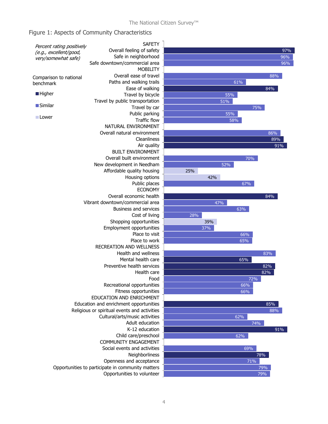#### Figure 1: Aspects of Community Characteristics

| Percent rating positively<br>(e.g., excellent/good, | <b>SAFETY</b>                                       |    |
|-----------------------------------------------------|-----------------------------------------------------|----|
|                                                     | Overall feeling of safety                           |    |
| very/somewhat safe)                                 | Safe in neighborhood                                |    |
|                                                     | Safe downtown/commercial area                       |    |
|                                                     | <b>MOBILITY</b>                                     |    |
|                                                     | Overall ease of travel                              |    |
| Comparison to national<br>benchmark                 | Paths and walking trails                            |    |
|                                                     | Ease of walking                                     |    |
| ■ Higher                                            | Travel by bicycle                                   |    |
|                                                     | Travel by public transportation                     |    |
| ■Similar                                            | Travel by car                                       |    |
|                                                     | Public parking                                      |    |
| $\blacksquare$ Lower                                | <b>Traffic flow</b>                                 |    |
|                                                     | NATURAL ENVIRONMENT                                 |    |
|                                                     | Overall natural environment                         |    |
|                                                     | Cleanliness                                         |    |
|                                                     | Air quality                                         |    |
|                                                     | <b>BUILT ENVIRONMENT</b>                            |    |
|                                                     | Overall built environment                           |    |
|                                                     |                                                     |    |
|                                                     | New development in Needham                          |    |
|                                                     | Affordable quality housing                          | 2! |
|                                                     | Housing options                                     |    |
|                                                     | Public places                                       |    |
|                                                     | <b>ECONOMY</b>                                      |    |
|                                                     | Overall economic health                             |    |
|                                                     | Vibrant downtown/commercial area                    |    |
|                                                     | <b>Business and services</b><br>Cost of living      |    |
|                                                     |                                                     |    |
|                                                     |                                                     |    |
|                                                     |                                                     |    |
|                                                     |                                                     |    |
|                                                     |                                                     |    |
|                                                     |                                                     |    |
|                                                     |                                                     |    |
|                                                     |                                                     |    |
|                                                     |                                                     |    |
|                                                     | Health care<br>Food                                 |    |
|                                                     |                                                     |    |
|                                                     | Recreational opportunities<br>Fitness opportunities |    |
|                                                     | EDUCATION AND ENRICHMENT                            |    |
|                                                     | Education and enrichment opportunities              |    |
|                                                     | Religious or spiritual events and activities        |    |
|                                                     | Cultural/arts/music activities                      |    |
|                                                     | Adult education                                     |    |
|                                                     | K-12 education                                      |    |
|                                                     |                                                     |    |
|                                                     | Child care/preschool<br>COMMUNITY ENGAGEMENT        |    |
|                                                     | Social events and activities                        |    |
|                                                     |                                                     |    |
|                                                     |                                                     |    |
|                                                     |                                                     |    |
| Opportunities to participate in community matters   |                                                     |    |
|                                                     | Opportunities to volunteer                          |    |

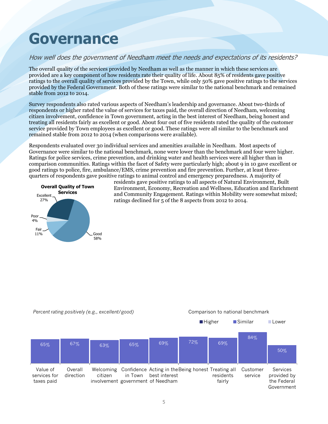### <span id="page-6-0"></span>**Governance**

### How well does the government of Needham meet the needs and expectations of its residents?

The overall quality of the services provided by Needham as well as the manner in which these services are provided are a key component of how residents rate their quality of life. About 85% of residents gave positive ratings to the overall quality of services provided by the Town, while only 50% gave positive ratings to the services provided by the Federal Government. Both of these ratings were similar to the national benchmark and remained stable from 2012 to 2014.

Survey respondents also rated various aspects of Needham's leadership and governance. About two-thirds of respondents or higher rated the value of services for taxes paid, the overall direction of Needham, welcoming citizen involvement, confidence in Town government, acting in the best interest of Needham, being honest and treating all residents fairly as excellent or good. About four out of five residents rated the quality of the customer service provided by Town employees as excellent or good. These ratings were all similar to the benchmark and remained stable from 2012 to 2014 (when comparisons were available).

Respondents evaluated over 30 individual services and amenities available in Needham. Most aspects of Governance were similar to the national benchmark, none were lower than the benchmark and four were higher. Ratings for police services, crime prevention, and drinking water and health services were all higher than in comparison communities. Ratings within the facet of Safety were particularly high; about 9 in 10 gave excellent or good ratings to police, fire, ambulance/EMS, crime prevention and fire prevention. Further, at least threequarters of respondents gave positive ratings to animal control and emergency preparedness. A majority of



residents gave positive ratings to all aspects of Natural Environment, Built Environment, Economy, Recreation and Wellness, Education and Enrichment and Community Engagement. Ratings within Mobility were somewhat mixed; ratings declined for 5 of the 8 aspects from 2012 to 2014.

*Percent rating positively (e.g., excellent/good)* Comparison to national benchmark

■Higher **Bimilar** Lower

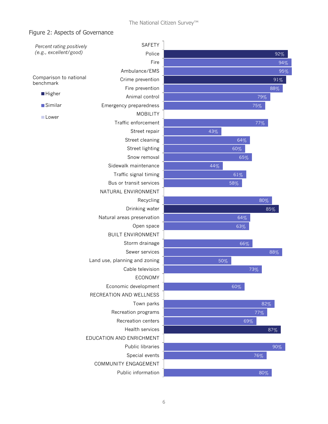#### Figure 2: Aspects of Governance

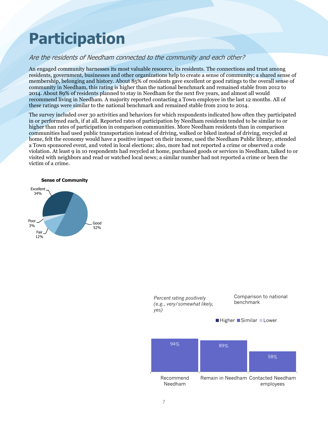### <span id="page-8-0"></span>**Participation**

### Are the residents of Needham connected to the community and each other?

An engaged community harnesses its most valuable resource, its residents. The connections and trust among residents, government, businesses and other organizations help to create a sense of community; a shared sense of membership, belonging and history. About 85% of residents gave excellent or good ratings to the overall sense of community in Needham, this rating is higher than the national benchmark and remained stable from 2012 to 2014. About 89% of residents planned to stay in Needham for the next five years, and almost all would recommend living in Needham. A majority reported contacting a Town employee in the last 12 months. All of these ratings were similar to the national benchmark and remained stable from 2102 to 2014.

The survey included over 30 activities and behaviors for which respondents indicated how often they participated in or performed each, if at all. Reported rates of participation by Needham residents tended to be similar to or higher than rates of participation in comparison communities. More Needham residents than in comparison communities had used public transportation instead of driving, walked or biked instead of driving, recycled at home, felt the economy would have a positive impact on their income, used the Needham Public library, attended a Town sponsored event, and voted in local elections; also, more had not reported a crime or observed a code violation. At least 9 in 10 respondents had recycled at home, purchased goods or services in Needham, talked to or visited with neighbors and read or watched local news; a similar number had not reported a crime or been the victim of a crime.



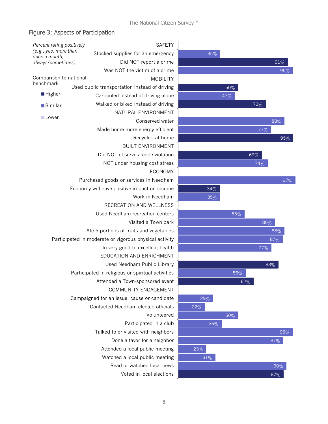### Figure 3: Aspects of Participation

| Percent rating positively                              | <b>SAFETY</b>                                     |        |                |
|--------------------------------------------------------|---------------------------------------------------|--------|----------------|
| (e.g., yes, more than                                  | Stocked supplies for an emergency                 | 35%    |                |
| once a month,<br>always/sometimes)                     | Did NOT report a crime                            |        |                |
|                                                        | Was NOT the victim of a crime                     |        |                |
| Comparison to national                                 | <b>MOBILITY</b>                                   |        |                |
| benchmark                                              | Used public transportation instead of driving     |        | 50%            |
| <b>Higher</b>                                          | Carpooled instead of driving alone                |        | 47%            |
| ■Similar                                               | Walked or biked instead of driving                |        |                |
|                                                        | NATURAL ENVIRONMENT                               |        |                |
| <b>Lower</b>                                           | Conserved water                                   |        |                |
|                                                        | Made home more energy efficient                   |        |                |
|                                                        | Recycled at home                                  |        |                |
|                                                        | <b>BUILT ENVIRONMENT</b>                          |        |                |
|                                                        | Did NOT observe a code violation                  |        |                |
|                                                        | NOT under housing cost stress                     |        |                |
|                                                        | <b>ECONOMY</b>                                    |        |                |
|                                                        | Purchased goods or services in Needham            |        |                |
|                                                        | Economy will have positive impact on income       | 34%    |                |
|                                                        | Work in Needham                                   | 35%    |                |
|                                                        | RECREATION AND WELLNESS                           |        |                |
|                                                        | Used Needham recreation centers                   |        | 55             |
|                                                        | Visited a Town park                               |        |                |
|                                                        | Ate 5 portions of fruits and vegetables           |        |                |
| Participated in moderate or vigorous physical activity |                                                   |        |                |
|                                                        | In very good to excellent health                  |        |                |
|                                                        | EDUCATION AND ENRICHMENT                          |        |                |
|                                                        | Used Needham Public Library                       |        |                |
|                                                        | Participated in religious or spiritual activities |        | 5 <sub>0</sub> |
|                                                        | Attended a Town-sponsored event                   |        |                |
|                                                        | COMMUNITY ENGAGEMENT                              |        |                |
|                                                        | Campaigned for an issue, cause or candidate       | 29%    |                |
|                                                        | Contacted Needham elected officials               | 22%    |                |
|                                                        | Volunteered                                       |        | 50%            |
|                                                        | Participated in a club                            | 36%    |                |
|                                                        | Talked to or visited with neighbors               |        |                |
|                                                        | Done a favor for a neighbor                       |        |                |
|                                                        | Attended a local public meeting                   | 23%    |                |
|                                                        | Watched a local public meeting                    | $31\%$ |                |
|                                                        | Read or watched local news                        |        |                |
|                                                        | Voted in local elections                          |        |                |



87%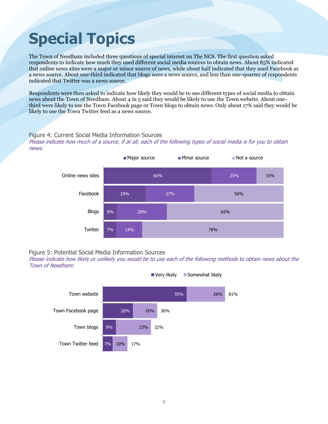## <span id="page-10-0"></span>**Special Topics**

The Town of Needham included three questions of special interest on The NCS. The first question asked respondents to indicate how much they used different social media sources to obtain news. About 85% indicated that online news sites were a major or minor source of news, while about half indicated that they used Facebook as a news source. About one-third indicated that blogs were a news source, and less than one-quarter of respondents indicated that Twitter was a news source.

Respondents were then asked to indicate how likely they would be to use different types of social media to obtain news about the Town of Needham. About 4 in 5 said they would be likely to use the Town website. About onethird were likely to use the Town Facebook page or Town blogs to obtain news. Only about 17% said they would be likely to use the Town Twitter feed as a news source.

#### Figure 4: Current Social Media Information Sources

Please indicate how much of a source, if at all, each of the following types of social media is for you to obtain news:





Please indicate how likely or unlikely you would be to use each of the following methods to obtain news about the Town of Needham:



Very likely **Somewhat likely**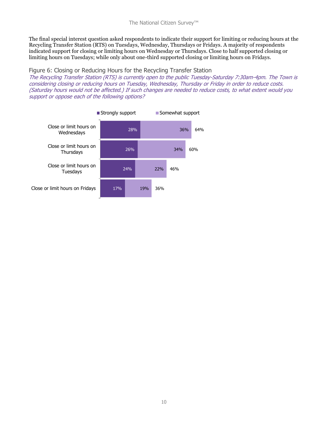The final special interest question asked respondents to indicate their support for limiting or reducing hours at the Recycling Transfer Station (RTS) on Tuesdays, Wednesday, Thursdays or Fridays. A majority of respondents indicated support for closing or limiting hours on Wednesday or Thursdays. Close to half supported closing or limiting hours on Tuesdays; while only about one-third supported closing or limiting hours on Fridays.

#### Figure 6: Closing or Reducing Hours for the Recycling Transfer Station

The Recycling Transfer Station (RTS) is currently open to the public Tuesday-Saturday 7:30am-4pm. The Town is considering closing or reducing hours on Tuesday, Wednesday, Thursday or Friday in order to reduce costs. (Saturday hours would not be affected.) If such changes are needed to reduce costs, to what extent would you support or oppose each of the following options?